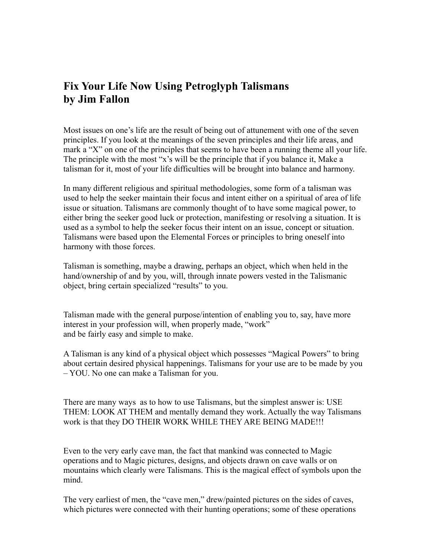## **Fix Your Life Now Using Petroglyph Talismans by Jim Fallon**

Most issues on one's life are the result of being out of attunement with one of the seven principles. If you look at the meanings of the seven principles and their life areas, and mark a "X" on one of the principles that seems to have been a running theme all your life. The principle with the most "x's will be the principle that if you balance it, Make a talisman for it, most of your life difficulties will be brought into balance and harmony.

In many different religious and spiritual methodologies, some form of a talisman was used to help the seeker maintain their focus and intent either on a spiritual of area of life issue or situation. Talismans are commonly thought of to have some magical power, to either bring the seeker good luck or protection, manifesting or resolving a situation. It is used as a symbol to help the seeker focus their intent on an issue, concept or situation. Talismans were based upon the Elemental Forces or principles to bring oneself into harmony with those forces.

Talisman is something, maybe a drawing, perhaps an object, which when held in the hand/ownership of and by you, will, through innate powers vested in the Talismanic object, bring certain specialized "results" to you.

Talisman made with the general purpose/intention of enabling you to, say, have more interest in your profession will, when properly made, "work" and be fairly easy and simple to make.

A Talisman is any kind of a physical object which possesses "Magical Powers" to bring about certain desired physical happenings. Talismans for your use are to be made by you – YOU. No one can make a Talisman for you.

There are many ways as to how to use Talismans, but the simplest answer is: USE THEM: LOOK AT THEM and mentally demand they work. Actually the way Talismans work is that they DO THEIR WORK WHILE THEY ARE BEING MADE!!!

Even to the very early cave man, the fact that mankind was connected to Magic operations and to Magic pictures, designs, and objects drawn on cave walls or on mountains which clearly were Talismans. This is the magical effect of symbols upon the mind.

The very earliest of men, the "cave men," drew/painted pictures on the sides of caves, which pictures were connected with their hunting operations; some of these operations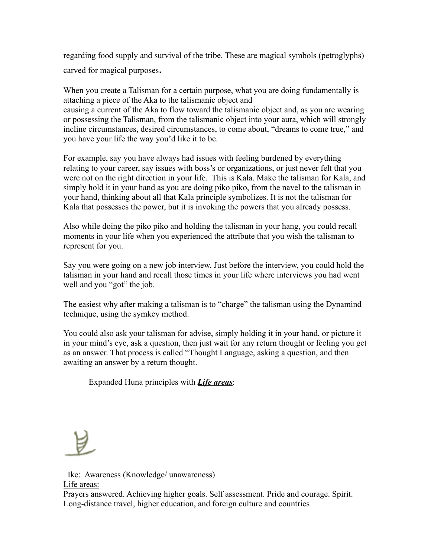regarding food supply and survival of the tribe. These are magical symbols (petroglyphs) carved for magical purposes.

When you create a Talisman for a certain purpose, what you are doing fundamentally is attaching a piece of the Aka to the talismanic object and causing a current of the Aka to flow toward the talismanic object and, as you are wearing or possessing the Talisman, from the talismanic object into your aura, which will strongly incline circumstances, desired circumstances, to come about, "dreams to come true," and you have your life the way you'd like it to be.

For example, say you have always had issues with feeling burdened by everything relating to your career, say issues with boss's or organizations, or just never felt that you were not on the right direction in your life. This is Kala. Make the talisman for Kala, and simply hold it in your hand as you are doing piko piko, from the navel to the talisman in your hand, thinking about all that Kala principle symbolizes. It is not the talisman for Kala that possesses the power, but it is invoking the powers that you already possess.

Also while doing the piko piko and holding the talisman in your hang, you could recall moments in your life when you experienced the attribute that you wish the talisman to represent for you.

Say you were going on a new job interview. Just before the interview, you could hold the talisman in your hand and recall those times in your life where interviews you had went well and you "got" the job.

The easiest why after making a talisman is to "charge" the talisman using the Dynamind technique, using the symkey method.

You could also ask your talisman for advise, simply holding it in your hand, or picture it in your mind's eye, ask a question, then just wait for any return thought or feeling you get as an answer. That process is called "Thought Language, asking a question, and then awaiting an answer by a return thought.

Expanded Huna principles with *Life areas*:

 Ike: Awareness (Knowledge/ unawareness) Life areas:

Prayers answered. Achieving higher goals. Self assessment. Pride and courage. Spirit. Long-distance travel, higher education, and foreign culture and countries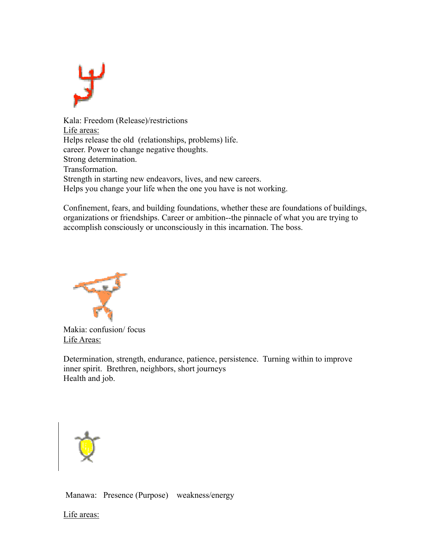

Kala: Freedom (Release)/restrictions Life areas: Helps release the old (relationships, problems) life. career. Power to change negative thoughts. Strong determination. Transformation. Strength in starting new endeavors, lives, and new careers. Helps you change your life when the one you have is not working.

Confinement, fears, and building foundations, whether these are foundations of buildings, organizations or friendships. Career or ambition--the pinnacle of what you are trying to accomplish consciously or unconsciously in this incarnation. The boss.



Makia: confusion/ focus Life Areas:

Determination, strength, endurance, patience, persistence. Turning within to improve inner spirit. Brethren, neighbors, short journeys Health and job.



Manawa: Presence (Purpose) weakness/energy

Life areas: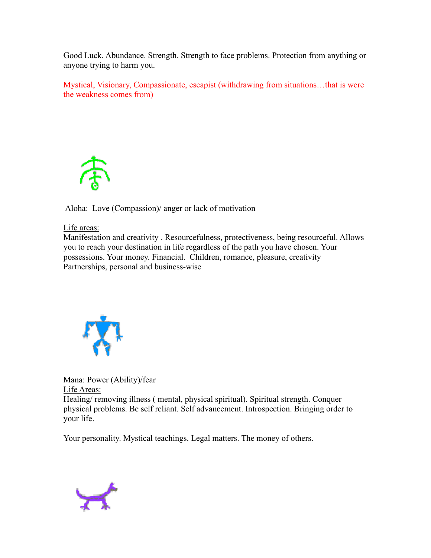Good Luck. Abundance. Strength. Strength to face problems. Protection from anything or anyone trying to harm you.

Mystical, Visionary, Compassionate, escapist (withdrawing from situations…that is were the weakness comes from)



Aloha: Love (Compassion)/ anger or lack of motivation

Life areas:

Manifestation and creativity . Resourcefulness, protectiveness, being resourceful. Allows you to reach your destination in life regardless of the path you have chosen. Your possessions. Your money. Financial. Children, romance, pleasure, creativity Partnerships, personal and business-wise



Mana: Power (Ability)/fear Life Areas: Healing/ removing illness ( mental, physical spiritual). Spiritual strength. Conquer physical problems. Be self reliant. Self advancement. Introspection. Bringing order to your life.

Your personality. Mystical teachings. Legal matters. The money of others.